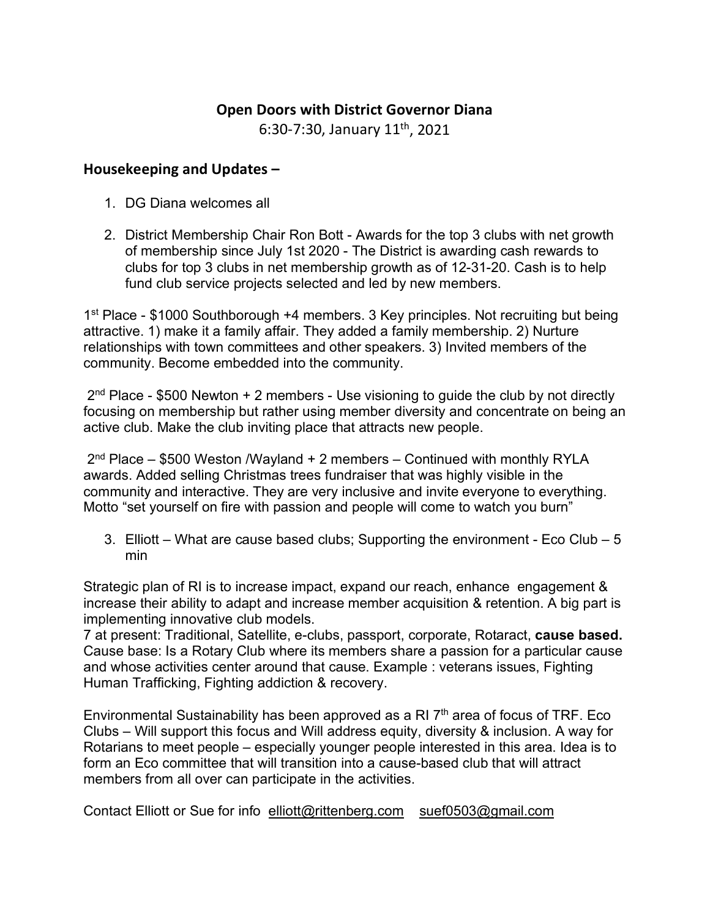## **Open Doors with District Governor Diana**

6:30-7:30, January 11th, 2021

## **Housekeeping and Updates –**

- 1. DG Diana welcomes all
- 2. District Membership Chair Ron Bott Awards for the top 3 clubs with net growth of membership since July 1st 2020 - The District is awarding cash rewards to clubs for top 3 clubs in net membership growth as of 12-31-20. Cash is to help fund club service projects selected and led by new members.

1<sup>st</sup> Place - \$1000 Southborough +4 members. 3 Key principles. Not recruiting but being attractive. 1) make it a family affair. They added a family membership. 2) Nurture relationships with town committees and other speakers. 3) Invited members of the community. Become embedded into the community.

 $2<sup>nd</sup>$  Place - \$500 Newton + 2 members - Use visioning to guide the club by not directly focusing on membership but rather using member diversity and concentrate on being an active club. Make the club inviting place that attracts new people.

2<sup>nd</sup> Place – \$500 Weston /Wayland + 2 members – Continued with monthly RYLA awards. Added selling Christmas trees fundraiser that was highly visible in the community and interactive. They are very inclusive and invite everyone to everything. Motto "set yourself on fire with passion and people will come to watch you burn"

3. Elliott – What are cause based clubs; Supporting the environment - Eco Club – 5 min

Strategic plan of RI is to increase impact, expand our reach, enhance engagement & increase their ability to adapt and increase member acquisition & retention. A big part is implementing innovative club models.

7 at present: Traditional, Satellite, e-clubs, passport, corporate, Rotaract, **cause based.** Cause base: Is a Rotary Club where its members share a passion for a particular cause and whose activities center around that cause. Example : veterans issues, Fighting Human Trafficking, Fighting addiction & recovery.

Environmental Sustainability has been approved as a RI  $7<sup>th</sup>$  area of focus of TRF. Eco Clubs – Will support this focus and Will address equity, diversity & inclusion. A way for Rotarians to meet people – especially younger people interested in this area. Idea is to form an Eco committee that will transition into a cause-based club that will attract members from all over can participate in the activities.

Contact Elliott or Sue for info [elliott@rittenberg.com](mailto:elliott@rittenberg.com) suef0503@gmail.com